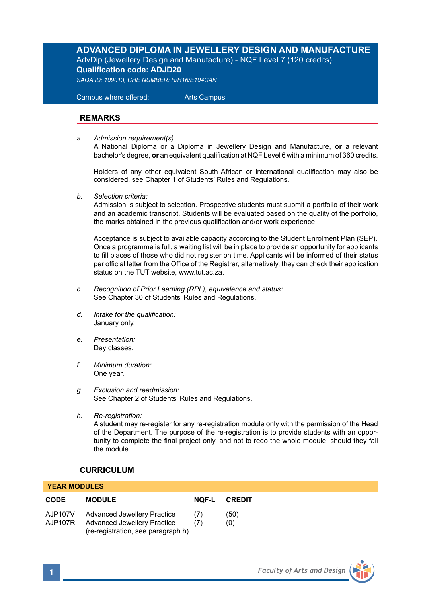# **ADVANCED DIPLOMA IN JEWELLERY DESIGN AND MANUFACTURE** AdvDip (Jewellery Design and Manufacture) - NQF Level 7 (120 credits) **Qualification code: ADJD20**

*SAQA ID: 109013, CHE NUMBER: H/H16/E104CAN*

 Campus where offered: Arts Campus

# **REMARKS**

*a. Admission requirement(s):* 

A National Diploma or a Diploma in Jewellery Design and Manufacture, **or** a relevant bachelor's degree, **or** an equivalent qualification at NQF Level 6 with a minimum of 360 credits.

Holders of any other equivalent South African or international qualification may also be considered, see Chapter 1 of Students' Rules and Regulations.

*b. Selection criteria:*

Admission is subject to selection. Prospective students must submit a portfolio of their work and an academic transcript. Students will be evaluated based on the quality of the portfolio, the marks obtained in the previous qualification and/or work experience.

 Acceptance is subject to available capacity according to the Student Enrolment Plan (SEP). Once a programme is full, a waiting list will be in place to provide an opportunity for applicants to fill places of those who did not register on time. Applicants will be informed of their status per official letter from the Office of the Registrar, alternatively, they can check their application status on the TUT website, www.tut.ac.za.

- *c. Recognition of Prior Learning (RPL), equivalence and status:* See Chapter 30 of Students' Rules and Regulations.
- *d. Intake for the qualification:* January only.
- *e. Presentation:* Day classes.
- *f. Minimum duration:* One year.
- *g. Exclusion and readmission:* See Chapter 2 of Students' Rules and Regulations.
- *h. Re-registration:*

A student may re-register for any re-registration module only with the permission of the Head of the Department. The purpose of the re-registration is to provide students with an opportunity to complete the final project only, and not to redo the whole module, should they fail the module.

# **CURRICULUM**

## **YEAR MODULES**

| <b>CODE</b>        | <b>MODULE</b>                                                                                    | NOF-L      | <b>CREDIT</b> |
|--------------------|--------------------------------------------------------------------------------------------------|------------|---------------|
| AJP107V<br>AJP107R | Advanced Jewellery Practice<br>Advanced Jewellery Practice<br>(re-registration, see paragraph h) | (7)<br>(7) | (50)<br>(0)   |